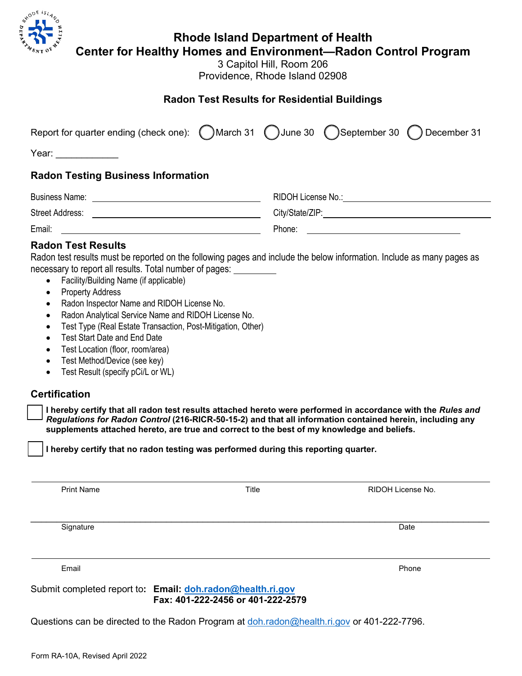

## **Rhode Island Department of Health**

**Center for Healthy Homes and Environment—Radon Control Program**

3 Capitol Hill, Room 206 Providence, Rhode Island 02908

## **Radon Test Results for Residential Buildings**

|                                           | Report for quarter ending (check one): (March 31 () June 30 () September 30 () December 31 |
|-------------------------------------------|--------------------------------------------------------------------------------------------|
| Year: $\frac{1}{2}$                       |                                                                                            |
| <b>Radon Testing Business Information</b> |                                                                                            |
|                                           |                                                                                            |
|                                           |                                                                                            |
|                                           |                                                                                            |
| <b>Radon Test Results</b>                 |                                                                                            |

Radon test results must be reported on the following pages and include the below information. Include as many pages as necessary to report all results. Total number of pages:

- Facility/Building Name (if applicable)
- Property Address
- Radon Inspector Name and RIDOH License No.
- Radon Analytical Service Name and RIDOH License No.
- Test Type (Real Estate Transaction, Post-Mitigation, Other)
- Test Start Date and End Date
- Test Location (floor, room/area)
- Test Method/Device (see key)
- Test Result (specify pCi/L or WL)

## **Certification**

**I** hereby certify that all radon test results attached hereto were performed in accordance with the *Rules and Regulations for Radon Control* **(216-RICR-50-15-2) and that all information contained herein, including any supplements attached hereto, are true and correct to the best of my knowledge and beliefs.**

**I hereby certify that no radon testing was performed during this reporting quarter.**

 $\_$  ,  $\_$  ,  $\_$  ,  $\_$  ,  $\_$  ,  $\_$  ,  $\_$  ,  $\_$  ,  $\_$  ,  $\_$  ,  $\_$  ,  $\_$  ,  $\_$  ,  $\_$  ,  $\_$  ,  $\_$  ,  $\_$  ,  $\_$  ,  $\_$  ,  $\_$  ,  $\_$  ,  $\_$  ,  $\_$  ,  $\_$  ,  $\_$  ,  $\_$  ,  $\_$  ,  $\_$  ,  $\_$  ,  $\_$  ,  $\_$  ,  $\_$  ,  $\_$  ,  $\_$  ,  $\_$  ,  $\_$  ,  $\_$  ,

Print Name **Title** Title RIDOH License No.

Signature Date **Date of the Contract of Contract Contract of Contract Contract Contract Only and D**ate Date of Co

Email Phone

Submit completed report to**: Email: [doh.radon@health.ri.gov](mailto:doh.radon@health.ri.gov) Fax: 401-222-2456 or 401-222-2579**

Questions can be directed to the Radon Program at [doh.radon@health.ri.gov](mailto:doh.radon@health.ri.gov) or 401-222-7796.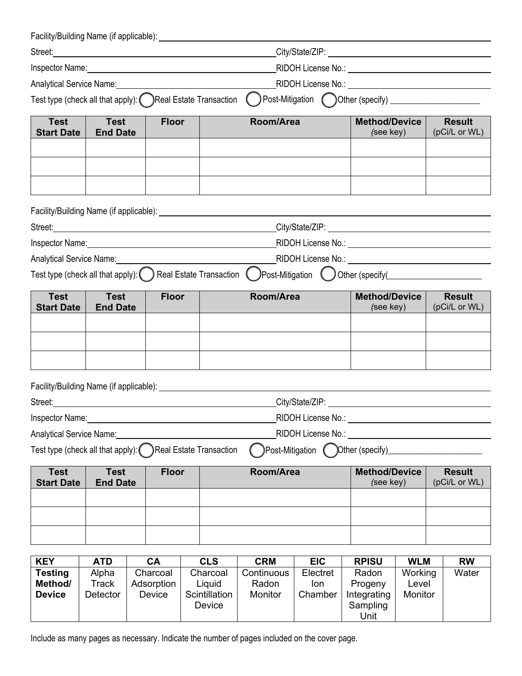|                                                                    |                                                                                                                                                                                                                                |                                               | Street: <u>Contract of the Contract of the Contract of the Contract of the Contract of the Contract of the Contract of the Contract of the Contract of the Contract of the Contract of the Contract of the Contract of the Contr</u> |                                              |                                          |                                                                                                                                                                                                                                |                                           |                                                                                                                                                                                                                               |  |
|--------------------------------------------------------------------|--------------------------------------------------------------------------------------------------------------------------------------------------------------------------------------------------------------------------------|-----------------------------------------------|--------------------------------------------------------------------------------------------------------------------------------------------------------------------------------------------------------------------------------------|----------------------------------------------|------------------------------------------|--------------------------------------------------------------------------------------------------------------------------------------------------------------------------------------------------------------------------------|-------------------------------------------|-------------------------------------------------------------------------------------------------------------------------------------------------------------------------------------------------------------------------------|--|
|                                                                    | Inspector Name: Name: Name: Name: Name: Name: Name: Name: Name: Name: Name: Name: Name: Name: Name: Name: Name: Name: Name: Name: Name: Name: Name: Name: Name: Name: Name: Name: Name: Name: Name: Name: Name: Name: Name: Na |                                               |                                                                                                                                                                                                                                      |                                              |                                          |                                                                                                                                                                                                                                |                                           |                                                                                                                                                                                                                               |  |
|                                                                    |                                                                                                                                                                                                                                |                                               |                                                                                                                                                                                                                                      |                                              |                                          |                                                                                                                                                                                                                                |                                           | RIDOH License No.: University of the Contract of the Contract of the Contract of the Contract of the Contract of the Contract of the Contract of the Contract of the Contract of the Contract of the Contract of the Contract |  |
|                                                                    |                                                                                                                                                                                                                                |                                               | Test type (check all that apply): (Call Estate Transaction                                                                                                                                                                           |                                              |                                          |                                                                                                                                                                                                                                |                                           | ) Post-Mitigation ( Other (specify) _______________________                                                                                                                                                                   |  |
| <b>Test</b><br><b>Start Date</b>                                   | <b>Test</b><br><b>End Date</b>                                                                                                                                                                                                 | <b>Floor</b>                                  |                                                                                                                                                                                                                                      | Room/Area                                    | <b>Method/Device</b><br>(see key)        |                                                                                                                                                                                                                                | <b>Result</b><br>(pCi/L or WL)            |                                                                                                                                                                                                                               |  |
|                                                                    |                                                                                                                                                                                                                                |                                               |                                                                                                                                                                                                                                      |                                              |                                          |                                                                                                                                                                                                                                |                                           |                                                                                                                                                                                                                               |  |
|                                                                    |                                                                                                                                                                                                                                |                                               |                                                                                                                                                                                                                                      |                                              |                                          |                                                                                                                                                                                                                                |                                           |                                                                                                                                                                                                                               |  |
|                                                                    |                                                                                                                                                                                                                                |                                               |                                                                                                                                                                                                                                      |                                              |                                          | City/State/ZIP: Note of the state of the state of the state of the state of the state of the state of the state of the state of the state of the state of the state of the state of the state of the state of the state of the |                                           |                                                                                                                                                                                                                               |  |
|                                                                    |                                                                                                                                                                                                                                |                                               | Inspector Name: Name: Name: Name: Name: Name: Name: Name: Name: Name: Name: Name: Name: Name: Name: Name: Name: Name: Name: Name: Name: Name: Name: Name: Name: Name: Name: Name: Name: Name: Name: Name: Name: Name: Name: Na       |                                              |                                          |                                                                                                                                                                                                                                |                                           |                                                                                                                                                                                                                               |  |
| Analytical Service Name:                                           |                                                                                                                                                                                                                                |                                               |                                                                                                                                                                                                                                      |                                              |                                          |                                                                                                                                                                                                                                |                                           |                                                                                                                                                                                                                               |  |
| Test type (check all that apply): $\binom{1}{2}$                   |                                                                                                                                                                                                                                |                                               | Real Estate Transaction (                                                                                                                                                                                                            |                                              |                                          |                                                                                                                                                                                                                                |                                           | $)$ Post-Mitigation $()$ Other (specify( $\Box$                                                                                                                                                                               |  |
| <b>Test</b><br><b>Start Date</b>                                   | <b>Test</b><br><b>End Date</b>                                                                                                                                                                                                 | <b>Floor</b>                                  |                                                                                                                                                                                                                                      | Room/Area                                    |                                          |                                                                                                                                                                                                                                | <b>Method/Device</b><br>(see key)         |                                                                                                                                                                                                                               |  |
|                                                                    |                                                                                                                                                                                                                                |                                               |                                                                                                                                                                                                                                      |                                              |                                          |                                                                                                                                                                                                                                |                                           |                                                                                                                                                                                                                               |  |
|                                                                    |                                                                                                                                                                                                                                |                                               |                                                                                                                                                                                                                                      |                                              |                                          |                                                                                                                                                                                                                                |                                           |                                                                                                                                                                                                                               |  |
|                                                                    |                                                                                                                                                                                                                                |                                               |                                                                                                                                                                                                                                      |                                              |                                          |                                                                                                                                                                                                                                |                                           |                                                                                                                                                                                                                               |  |
|                                                                    | Inspector Name:<br>RIDOH License No.:<br>Analytical Service Name:                                                                                                                                                              |                                               |                                                                                                                                                                                                                                      |                                              |                                          |                                                                                                                                                                                                                                |                                           |                                                                                                                                                                                                                               |  |
|                                                                    |                                                                                                                                                                                                                                |                                               | Test type (check all that apply): ( ) Real Estate Transaction                                                                                                                                                                        |                                              |                                          | )Post-Mitigation ( )Other (specify)                                                                                                                                                                                            |                                           |                                                                                                                                                                                                                               |  |
| <b>Test</b><br><b>Test</b><br><b>Start Date</b><br><b>End Date</b> |                                                                                                                                                                                                                                | <b>Floor</b>                                  |                                                                                                                                                                                                                                      | Room/Area                                    |                                          | <b>Method/Device</b><br>(see key)                                                                                                                                                                                              |                                           | <b>Result</b><br>(pCi/L or WL)                                                                                                                                                                                                |  |
|                                                                    |                                                                                                                                                                                                                                |                                               |                                                                                                                                                                                                                                      |                                              |                                          |                                                                                                                                                                                                                                |                                           |                                                                                                                                                                                                                               |  |
|                                                                    |                                                                                                                                                                                                                                |                                               |                                                                                                                                                                                                                                      |                                              |                                          |                                                                                                                                                                                                                                |                                           |                                                                                                                                                                                                                               |  |
|                                                                    |                                                                                                                                                                                                                                |                                               |                                                                                                                                                                                                                                      |                                              |                                          |                                                                                                                                                                                                                                |                                           |                                                                                                                                                                                                                               |  |
| <b>KEY</b><br><b>Testing</b><br>Method/<br><b>Device</b>           | <b>ATD</b><br>Alpha<br><b>Track</b><br>Detector                                                                                                                                                                                | <b>CA</b><br>Charcoal<br>Adsorption<br>Device | <b>CLS</b><br>Charcoal<br>Liquid<br>Scintillation<br>Device                                                                                                                                                                          | <b>CRM</b><br>Continuous<br>Radon<br>Monitor | <b>EIC</b><br>Electret<br>Ion<br>Chamber | <b>RPISU</b><br>Radon<br>Progeny<br>Integrating<br>Sampling<br>Unit                                                                                                                                                            | <b>WLM</b><br>Working<br>Level<br>Monitor | <b>RW</b><br>Water                                                                                                                                                                                                            |  |

Include as many pages as necessary. Indicate the number of pages included on the cover page.